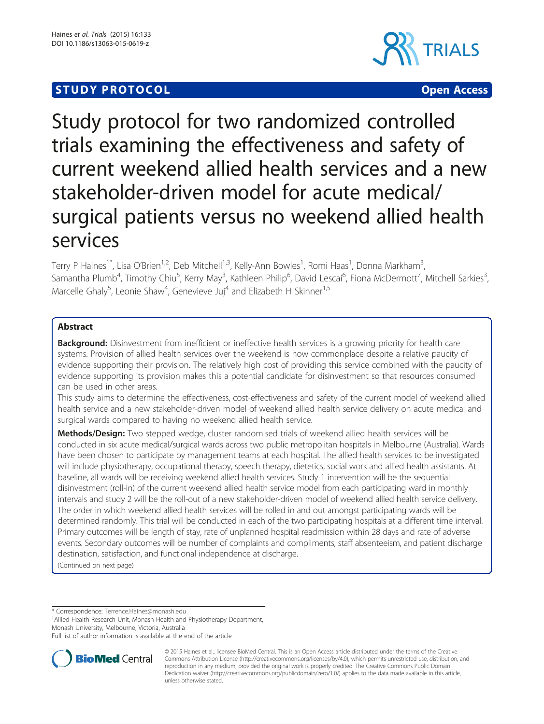# **STUDY PROTOCOL CONSUMING THE RESERVE ACCESS**



# Study protocol for two randomized controlled trials examining the effectiveness and safety of current weekend allied health services and a new stakeholder-driven model for acute medical/ surgical patients versus no weekend allied health services

Terry P Haines<sup>1\*</sup>, Lisa O'Brien<sup>1,2</sup>, Deb Mitchell<sup>1,3</sup>, Kelly-Ann Bowles<sup>1</sup>, Romi Haas<sup>1</sup>, Donna Markham<sup>3</sup> , Samantha Plumb<sup>4</sup>, Timothy Chiu<sup>5</sup>, Kerry May<sup>3</sup>, Kathleen Philip<sup>6</sup>, David Lescai<sup>6</sup>, Fiona McDermott<sup>7</sup>, Mitchell Sarkies<sup>3</sup> , Marcelle Ghaly<sup>5</sup>, Leonie Shaw<sup>4</sup>, Genevieve Juj<sup>4</sup> and Elizabeth H Skinner<sup>1,5</sup>

# Abstract

Background: Disinvestment from inefficient or ineffective health services is a growing priority for health care systems. Provision of allied health services over the weekend is now commonplace despite a relative paucity of evidence supporting their provision. The relatively high cost of providing this service combined with the paucity of evidence supporting its provision makes this a potential candidate for disinvestment so that resources consumed can be used in other areas.

This study aims to determine the effectiveness, cost-effectiveness and safety of the current model of weekend allied health service and a new stakeholder-driven model of weekend allied health service delivery on acute medical and surgical wards compared to having no weekend allied health service.

Methods/Design: Two stepped wedge, cluster randomised trials of weekend allied health services will be conducted in six acute medical/surgical wards across two public metropolitan hospitals in Melbourne (Australia). Wards have been chosen to participate by management teams at each hospital. The allied health services to be investigated will include physiotherapy, occupational therapy, speech therapy, dietetics, social work and allied health assistants. At baseline, all wards will be receiving weekend allied health services. Study 1 intervention will be the sequential disinvestment (roll-in) of the current weekend allied health service model from each participating ward in monthly intervals and study 2 will be the roll-out of a new stakeholder-driven model of weekend allied health service delivery. The order in which weekend allied health services will be rolled in and out amongst participating wards will be determined randomly. This trial will be conducted in each of the two participating hospitals at a different time interval. Primary outcomes will be length of stay, rate of unplanned hospital readmission within 28 days and rate of adverse events. Secondary outcomes will be number of complaints and compliments, staff absenteeism, and patient discharge destination, satisfaction, and functional independence at discharge.

(Continued on next page)

\* Correspondence: [Terrence.Haines@monash.edu](mailto:Terrence.Haines@monash.edu) <sup>1</sup>

<sup>1</sup> Allied Health Research Unit, Monash Health and Physiotherapy Department, Monash University, Melbourne, Victoria, Australia

Full list of author information is available at the end of the article



© 2015 Haines et al.; licensee BioMed Central. This is an Open Access article distributed under the terms of the Creative Commons Attribution License [\(http://creativecommons.org/licenses/by/4.0\)](http://creativecommons.org/licenses/by/4.0), which permits unrestricted use, distribution, and reproduction in any medium, provided the original work is properly credited. The Creative Commons Public Domain Dedication waiver [\(http://creativecommons.org/publicdomain/zero/1.0/](http://creativecommons.org/publicdomain/zero/1.0/)) applies to the data made available in this article, unless otherwise stated.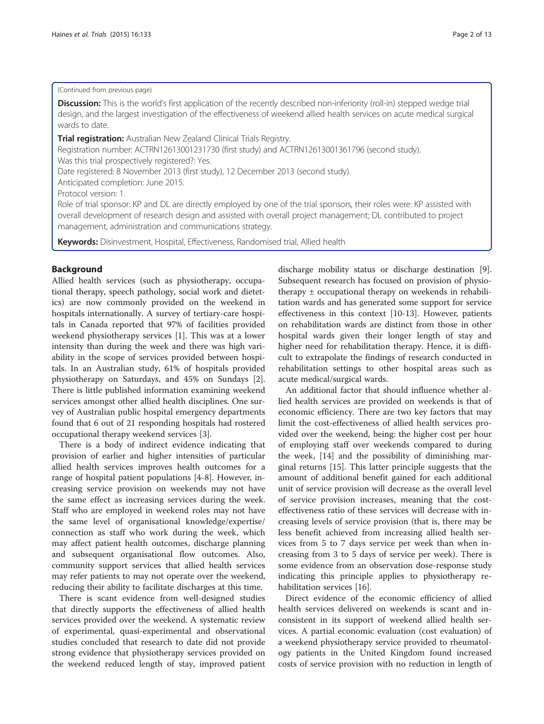# (Continued from previous page)

Discussion: This is the world's first application of the recently described non-inferiority (roll-in) stepped wedge trial design, and the largest investigation of the effectiveness of weekend allied health services on acute medical surgical wards to date.

**Trial registration:** Australian New Zealand Clinical Trials Registry.

Registration number: [ACTRN12613001231730](https://www.anzctr.org.au/Trial/Registration/TrialReview.aspx?id=364857) (first study) and [ACTRN12613001361796](https://www.anzctr.org.au/Trial/Registration/TrialReview.aspx?id=365306) (second study). Was this trial prospectively registered?: Yes.

Date registered: 8 November 2013 (first study), 12 December 2013 (second study).

Anticipated completion: June 2015.

Protocol version: 1.

Role of trial sponsor: KP and DL are directly employed by one of the trial sponsors, their roles were: KP assisted with overall development of research design and assisted with overall project management; DL contributed to project management, administration and communications strategy.

Keywords: Disinvestment, Hospital, Effectiveness, Randomised trial, Allied health

# Background

Allied health services (such as physiotherapy, occupational therapy, speech pathology, social work and dietetics) are now commonly provided on the weekend in hospitals internationally. A survey of tertiary-care hospitals in Canada reported that 97% of facilities provided weekend physiotherapy services [[1\]](#page-11-0). This was at a lower intensity than during the week and there was high variability in the scope of services provided between hospitals. In an Australian study, 61% of hospitals provided physiotherapy on Saturdays, and 45% on Sundays [\[2](#page-11-0)]. There is little published information examining weekend services amongst other allied health disciplines. One survey of Australian public hospital emergency departments found that 6 out of 21 responding hospitals had rostered occupational therapy weekend services [[3\]](#page-11-0).

There is a body of indirect evidence indicating that provision of earlier and higher intensities of particular allied health services improves health outcomes for a range of hospital patient populations [[4-8\]](#page-11-0). However, increasing service provision on weekends may not have the same effect as increasing services during the week. Staff who are employed in weekend roles may not have the same level of organisational knowledge/expertise/ connection as staff who work during the week, which may affect patient health outcomes, discharge planning and subsequent organisational flow outcomes. Also, community support services that allied health services may refer patients to may not operate over the weekend, reducing their ability to facilitate discharges at this time.

There is scant evidence from well-designed studies that directly supports the effectiveness of allied health services provided over the weekend. A systematic review of experimental, quasi-experimental and observational studies concluded that research to date did not provide strong evidence that physiotherapy services provided on the weekend reduced length of stay, improved patient discharge mobility status or discharge destination [\[9](#page-11-0)]. Subsequent research has focused on provision of physiotherapy ± occupational therapy on weekends in rehabilitation wards and has generated some support for service effectiveness in this context [[10](#page-11-0)-[13\]](#page-12-0). However, patients on rehabilitation wards are distinct from those in other hospital wards given their longer length of stay and higher need for rehabilitation therapy. Hence, it is difficult to extrapolate the findings of research conducted in rehabilitation settings to other hospital areas such as acute medical/surgical wards.

An additional factor that should influence whether allied health services are provided on weekends is that of economic efficiency. There are two key factors that may limit the cost-effectiveness of allied health services provided over the weekend, being: the higher cost per hour of employing staff over weekends compared to during the week, [\[14\]](#page-12-0) and the possibility of diminishing marginal returns [\[15\]](#page-12-0). This latter principle suggests that the amount of additional benefit gained for each additional unit of service provision will decrease as the overall level of service provision increases, meaning that the costeffectiveness ratio of these services will decrease with increasing levels of service provision (that is, there may be less benefit achieved from increasing allied health services from 5 to 7 days service per week than when increasing from 3 to 5 days of service per week). There is some evidence from an observation dose-response study indicating this principle applies to physiotherapy rehabilitation services [[16\]](#page-12-0).

Direct evidence of the economic efficiency of allied health services delivered on weekends is scant and inconsistent in its support of weekend allied health services. A partial economic evaluation (cost evaluation) of a weekend physiotherapy service provided to rheumatology patients in the United Kingdom found increased costs of service provision with no reduction in length of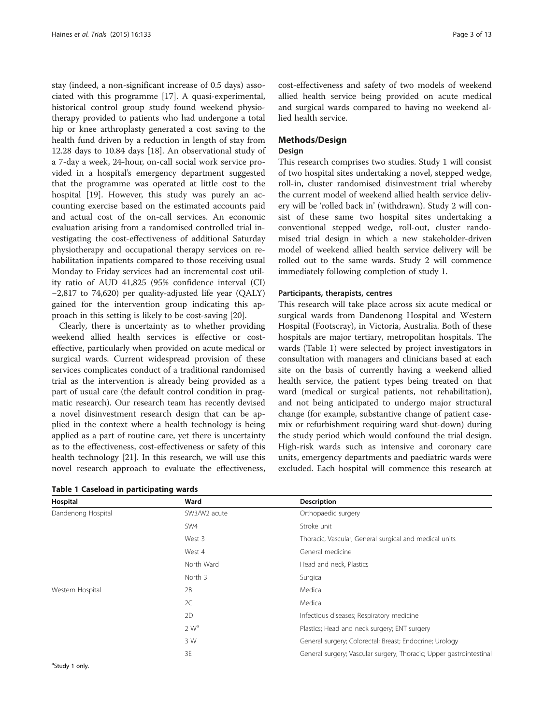stay (indeed, a non-significant increase of 0.5 days) associated with this programme [\[17](#page-12-0)]. A quasi-experimental, historical control group study found weekend physiotherapy provided to patients who had undergone a total hip or knee arthroplasty generated a cost saving to the health fund driven by a reduction in length of stay from 12.28 days to 10.84 days [[18\]](#page-12-0). An observational study of a 7-day a week, 24-hour, on-call social work service provided in a hospital's emergency department suggested that the programme was operated at little cost to the hospital [[19\]](#page-12-0). However, this study was purely an accounting exercise based on the estimated accounts paid and actual cost of the on-call services. An economic evaluation arising from a randomised controlled trial investigating the cost-effectiveness of additional Saturday physiotherapy and occupational therapy services on rehabilitation inpatients compared to those receiving usual Monday to Friday services had an incremental cost utility ratio of AUD 41,825 (95% confidence interval (CI) −2,817 to 74,620) per quality-adjusted life year (QALY) gained for the intervention group indicating this approach in this setting is likely to be cost-saving [\[20\]](#page-12-0).

Clearly, there is uncertainty as to whether providing weekend allied health services is effective or costeffective, particularly when provided on acute medical or surgical wards. Current widespread provision of these services complicates conduct of a traditional randomised trial as the intervention is already being provided as a part of usual care (the default control condition in pragmatic research). Our research team has recently devised a novel disinvestment research design that can be applied in the context where a health technology is being applied as a part of routine care, yet there is uncertainty as to the effectiveness, cost-effectiveness or safety of this health technology [[21\]](#page-12-0). In this research, we will use this novel research approach to evaluate the effectiveness,

| <b>Table 1 Caseload in participating wards</b> |  |  |  |  |  |  |  |  |
|------------------------------------------------|--|--|--|--|--|--|--|--|
|------------------------------------------------|--|--|--|--|--|--|--|--|

cost-effectiveness and safety of two models of weekend allied health service being provided on acute medical and surgical wards compared to having no weekend allied health service.

# Methods/Design

## Design

This research comprises two studies. Study 1 will consist of two hospital sites undertaking a novel, stepped wedge, roll-in, cluster randomised disinvestment trial whereby the current model of weekend allied health service delivery will be 'rolled back in' (withdrawn). Study 2 will consist of these same two hospital sites undertaking a conventional stepped wedge, roll-out, cluster randomised trial design in which a new stakeholder-driven model of weekend allied health service delivery will be rolled out to the same wards. Study 2 will commence immediately following completion of study 1.

#### Participants, therapists, centres

This research will take place across six acute medical or surgical wards from Dandenong Hospital and Western Hospital (Footscray), in Victoria, Australia. Both of these hospitals are major tertiary, metropolitan hospitals. The wards (Table 1) were selected by project investigators in consultation with managers and clinicians based at each site on the basis of currently having a weekend allied health service, the patient types being treated on that ward (medical or surgical patients, not rehabilitation), and not being anticipated to undergo major structural change (for example, substantive change of patient casemix or refurbishment requiring ward shut-down) during the study period which would confound the trial design. High-risk wards such as intensive and coronary care units, emergency departments and paediatric wards were excluded. Each hospital will commence this research at

| Hospital           | Ward             | <b>Description</b>                                                  |
|--------------------|------------------|---------------------------------------------------------------------|
| Dandenong Hospital | SW3/W2 acute     | Orthopaedic surgery                                                 |
|                    | SW4              | Stroke unit                                                         |
|                    | West 3           | Thoracic, Vascular, General surgical and medical units              |
|                    | West 4           | General medicine                                                    |
|                    | North Ward       | Head and neck, Plastics                                             |
|                    | North 3          | Surgical                                                            |
| Western Hospital   | 2B               | Medical                                                             |
|                    | 2C               | Medical                                                             |
|                    | 2D               | Infectious diseases; Respiratory medicine                           |
|                    | 2 W <sup>a</sup> | Plastics; Head and neck surgery; ENT surgery                        |
|                    | 3 W              | General surgery; Colorectal; Breast; Endocrine; Urology             |
|                    | 3E               | General surgery; Vascular surgery; Thoracic; Upper gastrointestinal |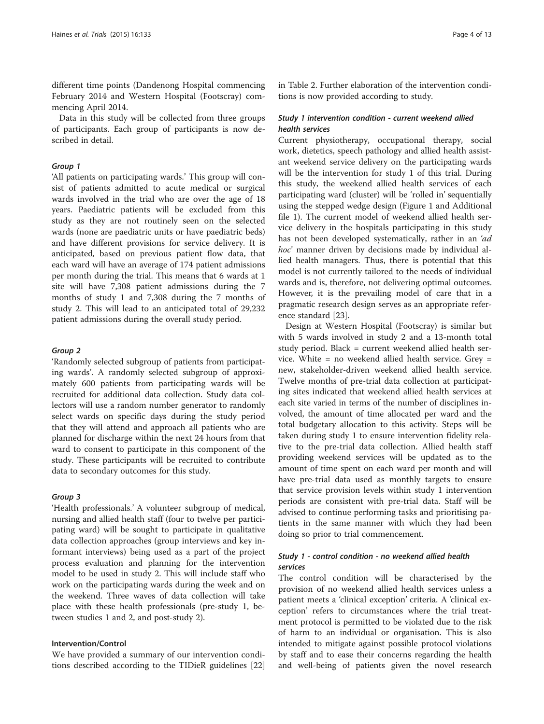different time points (Dandenong Hospital commencing February 2014 and Western Hospital (Footscray) commencing April 2014.

Data in this study will be collected from three groups of participants. Each group of participants is now described in detail.

# Group 1

'All patients on participating wards.' This group will consist of patients admitted to acute medical or surgical wards involved in the trial who are over the age of 18 years. Paediatric patients will be excluded from this study as they are not routinely seen on the selected wards (none are paediatric units or have paediatric beds) and have different provisions for service delivery. It is anticipated, based on previous patient flow data, that each ward will have an average of 174 patient admissions per month during the trial. This means that 6 wards at 1 site will have 7,308 patient admissions during the 7 months of study 1 and 7,308 during the 7 months of study 2. This will lead to an anticipated total of 29,232 patient admissions during the overall study period.

#### Group 2

'Randomly selected subgroup of patients from participating wards'. A randomly selected subgroup of approximately 600 patients from participating wards will be recruited for additional data collection. Study data collectors will use a random number generator to randomly select wards on specific days during the study period that they will attend and approach all patients who are planned for discharge within the next 24 hours from that ward to consent to participate in this component of the study. These participants will be recruited to contribute data to secondary outcomes for this study.

# Group 3

'Health professionals.' A volunteer subgroup of medical, nursing and allied health staff (four to twelve per participating ward) will be sought to participate in qualitative data collection approaches (group interviews and key informant interviews) being used as a part of the project process evaluation and planning for the intervention model to be used in study 2. This will include staff who work on the participating wards during the week and on the weekend. Three waves of data collection will take place with these health professionals (pre-study 1, between studies 1 and 2, and post-study 2).

#### Intervention/Control

We have provided a summary of our intervention conditions described according to the TIDieR guidelines [[22](#page-12-0)] in Table [2](#page-4-0). Further elaboration of the intervention conditions is now provided according to study.

# Study 1 intervention condition - current weekend allied health services

Current physiotherapy, occupational therapy, social work, dietetics, speech pathology and allied health assistant weekend service delivery on the participating wards will be the intervention for study 1 of this trial. During this study, the weekend allied health services of each participating ward (cluster) will be 'rolled in' sequentially using the stepped wedge design (Figure [1](#page-5-0) and Additional file [1\)](#page-11-0). The current model of weekend allied health service delivery in the hospitals participating in this study has not been developed systematically, rather in an 'ad hoc' manner driven by decisions made by individual allied health managers. Thus, there is potential that this model is not currently tailored to the needs of individual wards and is, therefore, not delivering optimal outcomes. However, it is the prevailing model of care that in a pragmatic research design serves as an appropriate reference standard [[23](#page-12-0)].

Design at Western Hospital (Footscray) is similar but with 5 wards involved in study 2 and a 13-month total study period. Black = current weekend allied health service. White = no weekend allied health service. Grey = new, stakeholder-driven weekend allied health service. Twelve months of pre-trial data collection at participating sites indicated that weekend allied health services at each site varied in terms of the number of disciplines involved, the amount of time allocated per ward and the total budgetary allocation to this activity. Steps will be taken during study 1 to ensure intervention fidelity relative to the pre-trial data collection. Allied health staff providing weekend services will be updated as to the amount of time spent on each ward per month and will have pre-trial data used as monthly targets to ensure that service provision levels within study 1 intervention periods are consistent with pre-trial data. Staff will be advised to continue performing tasks and prioritising patients in the same manner with which they had been doing so prior to trial commencement.

# Study 1 - control condition - no weekend allied health services

The control condition will be characterised by the provision of no weekend allied health services unless a patient meets a 'clinical exception' criteria. A 'clinical exception' refers to circumstances where the trial treatment protocol is permitted to be violated due to the risk of harm to an individual or organisation. This is also intended to mitigate against possible protocol violations by staff and to ease their concerns regarding the health and well-being of patients given the novel research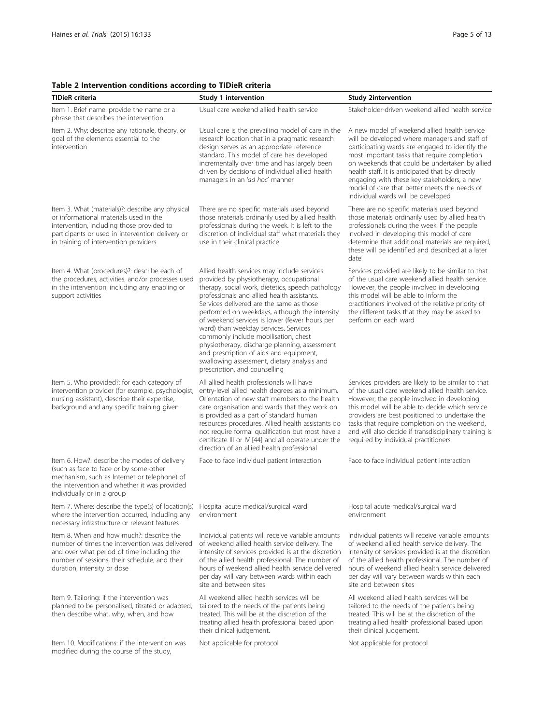# <span id="page-4-0"></span>Table 2 Intervention conditions according to TIDieR criteria

| <b>TIDieR</b> criteria                                                                                                                                                                                                               | Study 1 intervention                                                                                                                                                                                                                                                                                                                                                                                                                                                                                                                                                                                  | <b>Study 2intervention</b>                                                                                                                                                                                                                                                                                                                                                                                                                  |
|--------------------------------------------------------------------------------------------------------------------------------------------------------------------------------------------------------------------------------------|-------------------------------------------------------------------------------------------------------------------------------------------------------------------------------------------------------------------------------------------------------------------------------------------------------------------------------------------------------------------------------------------------------------------------------------------------------------------------------------------------------------------------------------------------------------------------------------------------------|---------------------------------------------------------------------------------------------------------------------------------------------------------------------------------------------------------------------------------------------------------------------------------------------------------------------------------------------------------------------------------------------------------------------------------------------|
| Item 1. Brief name: provide the name or a<br>phrase that describes the intervention                                                                                                                                                  | Usual care weekend allied health service                                                                                                                                                                                                                                                                                                                                                                                                                                                                                                                                                              | Stakeholder-driven weekend allied health service                                                                                                                                                                                                                                                                                                                                                                                            |
| Item 2. Why: describe any rationale, theory, or<br>goal of the elements essential to the<br>intervention                                                                                                                             | Usual care is the prevailing model of care in the<br>research location that in a pragmatic research<br>design serves as an appropriate reference<br>standard. This model of care has developed<br>incrementally over time and has largely been<br>driven by decisions of individual allied health<br>managers in an 'ad hoc' manner                                                                                                                                                                                                                                                                   | A new model of weekend allied health service<br>will be developed where managers and staff of<br>participating wards are engaged to identify the<br>most important tasks that require completion<br>on weekends that could be undertaken by allied<br>health staff. It is anticipated that by directly<br>engaging with these key stakeholders, a new<br>model of care that better meets the needs of<br>individual wards will be developed |
| Item 3. What (materials)?: describe any physical<br>or informational materials used in the<br>intervention, including those provided to<br>participants or used in intervention delivery or<br>in training of intervention providers | There are no specific materials used beyond<br>those materials ordinarily used by allied health<br>professionals during the week. It is left to the<br>discretion of individual staff what materials they<br>use in their clinical practice                                                                                                                                                                                                                                                                                                                                                           | There are no specific materials used beyond<br>those materials ordinarily used by allied health<br>professionals during the week. If the people<br>involved in developing this model of care<br>determine that additional materials are required,<br>these will be identified and described at a later<br>date                                                                                                                              |
| Item 4. What (procedures)?: describe each of<br>the procedures, activities, and/or processes used<br>in the intervention, including any enabling or<br>support activities                                                            | Allied health services may include services<br>provided by physiotherapy, occupational<br>therapy, social work, dietetics, speech pathology<br>professionals and allied health assistants.<br>Services delivered are the same as those<br>performed on weekdays, although the intensity<br>of weekend services is lower (fewer hours per<br>ward) than weekday services. Services<br>commonly include mobilisation, chest<br>physiotherapy, discharge planning, assessment<br>and prescription of aids and equipment,<br>swallowing assessment, dietary analysis and<br>prescription, and counselling | Services provided are likely to be similar to that<br>of the usual care weekend allied health service.<br>However, the people involved in developing<br>this model will be able to inform the<br>practitioners involved of the relative priority of<br>the different tasks that they may be asked to<br>perform on each ward                                                                                                                |
| Item 5. Who provided?: for each category of<br>intervention provider (for example, psychologist,<br>nursing assistant), describe their expertise,<br>background and any specific training given                                      | All allied health professionals will have<br>entry-level allied health degrees as a minimum.<br>Orientation of new staff members to the health<br>care organisation and wards that they work on<br>is provided as a part of standard human<br>resources procedures. Allied health assistants do<br>not require formal qualification but most have a<br>certificate III or IV [44] and all operate under the<br>direction of an allied health professional                                                                                                                                             | Services providers are likely to be similar to that<br>of the usual care weekend allied health service.<br>However, the people involved in developing<br>this model will be able to decide which service<br>providers are best positioned to undertake the<br>tasks that require completion on the weekend,<br>and will also decide if transdisciplinary training is<br>required by individual practitioners                                |
| Item 6. How?: describe the modes of delivery<br>(such as face to face or by some other<br>mechanism, such as Internet or telephone) of<br>the intervention and whether it was provided<br>individually or in a group                 | Face to face individual patient interaction                                                                                                                                                                                                                                                                                                                                                                                                                                                                                                                                                           | Face to face individual patient interaction                                                                                                                                                                                                                                                                                                                                                                                                 |
| Item 7. Where: describe the type(s) of location(s)<br>where the intervention occurred, including any<br>necessary infrastructure or relevant features                                                                                | Hospital acute medical/surgical ward<br>environment                                                                                                                                                                                                                                                                                                                                                                                                                                                                                                                                                   | Hospital acute medical/surgical ward<br>environment                                                                                                                                                                                                                                                                                                                                                                                         |
| Item 8. When and how much?: describe the<br>number of times the intervention was delivered<br>and over what period of time including the<br>number of sessions, their schedule, and their<br>duration, intensity or dose             | Individual patients will receive variable amounts<br>of weekend allied health service delivery. The<br>intensity of services provided is at the discretion<br>of the allied health professional. The number of<br>hours of weekend allied health service delivered<br>per day will vary between wards within each<br>site and between sites                                                                                                                                                                                                                                                           | Individual patients will receive variable amounts<br>of weekend allied health service delivery. The<br>intensity of services provided is at the discretion<br>of the allied health professional. The number of<br>hours of weekend allied health service delivered<br>per day will vary between wards within each<br>site and between sites                                                                                                 |
| Item 9. Tailoring: if the intervention was<br>planned to be personalised, titrated or adapted,<br>then describe what, why, when, and how                                                                                             | All weekend allied health services will be<br>tailored to the needs of the patients being<br>treated. This will be at the discretion of the<br>treating allied health professional based upon<br>their clinical judgement.                                                                                                                                                                                                                                                                                                                                                                            | All weekend allied health services will be<br>tailored to the needs of the patients being<br>treated. This will be at the discretion of the<br>treating allied health professional based upon<br>their clinical judgement.                                                                                                                                                                                                                  |
| Item 10. Modifications: if the intervention was<br>modified during the course of the study,                                                                                                                                          | Not applicable for protocol                                                                                                                                                                                                                                                                                                                                                                                                                                                                                                                                                                           | Not applicable for protocol                                                                                                                                                                                                                                                                                                                                                                                                                 |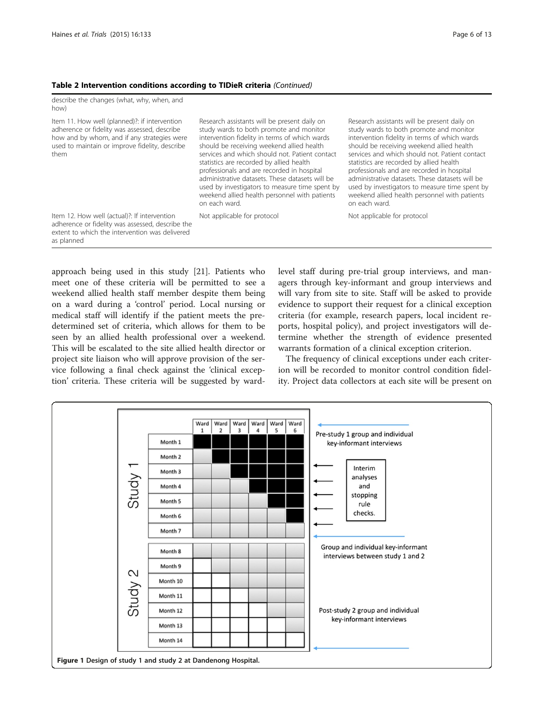# <span id="page-5-0"></span>Table 2 Intervention conditions according to TIDieR criteria (Continued)

describe the changes (what, why, when, and how)

Item 11. How well (planned)?: if intervention adherence or fidelity was assessed, describe how and by whom, and if any strategies were used to maintain or improve fidelity, describe them

Item 12. How well (actual)?: If intervention adherence or fidelity was assessed, describe the extent to which the intervention was delivered

as planned

Research assistants will be present daily on study wards to both promote and monitor intervention fidelity in terms of which wards should be receiving weekend allied health services and which should not. Patient contact statistics are recorded by allied health professionals and are recorded in hospital administrative datasets. These datasets will be used by investigators to measure time spent by weekend allied health personnel with patients on each ward.

Research assistants will be present daily on study wards to both promote and monitor intervention fidelity in terms of which wards should be receiving weekend allied health services and which should not. Patient contact statistics are recorded by allied health professionals and are recorded in hospital administrative datasets. These datasets will be used by investigators to measure time spent by weekend allied health personnel with patients on each ward.

Not applicable for protocol Not applicable for protocol

approach being used in this study [[21\]](#page-12-0). Patients who meet one of these criteria will be permitted to see a weekend allied health staff member despite them being on a ward during a 'control' period. Local nursing or medical staff will identify if the patient meets the predetermined set of criteria, which allows for them to be seen by an allied health professional over a weekend. This will be escalated to the site allied health director or project site liaison who will approve provision of the ser-

vice following a final check against the 'clinical exception' criteria. These criteria will be suggested by wardlevel staff during pre-trial group interviews, and managers through key-informant and group interviews and will vary from site to site. Staff will be asked to provide evidence to support their request for a clinical exception criteria (for example, research papers, local incident reports, hospital policy), and project investigators will determine whether the strength of evidence presented warrants formation of a clinical exception criterion.

The frequency of clinical exceptions under each criterion will be recorded to monitor control condition fidelity. Project data collectors at each site will be present on

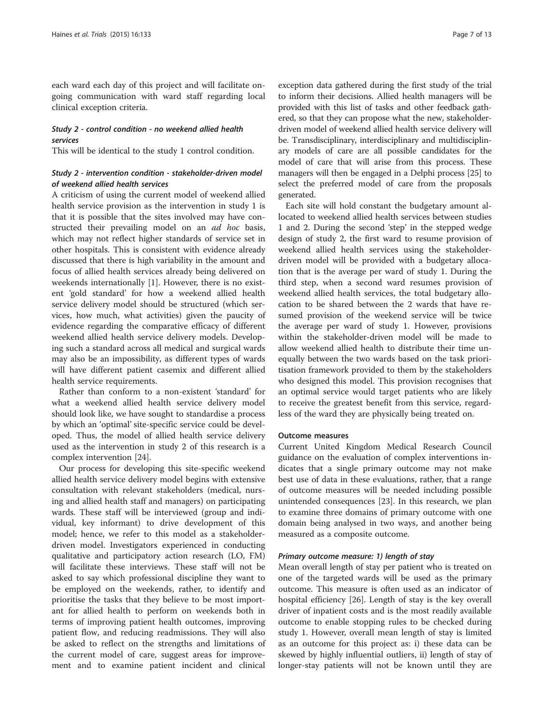each ward each day of this project and will facilitate ongoing communication with ward staff regarding local clinical exception criteria.

# Study 2 - control condition - no weekend allied health services

This will be identical to the study 1 control condition.

# Study 2 - intervention condition - stakeholder-driven model of weekend allied health services

A criticism of using the current model of weekend allied health service provision as the intervention in study 1 is that it is possible that the sites involved may have constructed their prevailing model on an *ad hoc* basis, which may not reflect higher standards of service set in other hospitals. This is consistent with evidence already discussed that there is high variability in the amount and focus of allied health services already being delivered on weekends internationally [\[1](#page-11-0)]. However, there is no existent 'gold standard' for how a weekend allied health service delivery model should be structured (which services, how much, what activities) given the paucity of evidence regarding the comparative efficacy of different weekend allied health service delivery models. Developing such a standard across all medical and surgical wards may also be an impossibility, as different types of wards will have different patient casemix and different allied health service requirements.

Rather than conform to a non-existent 'standard' for what a weekend allied health service delivery model should look like, we have sought to standardise a process by which an 'optimal' site-specific service could be developed. Thus, the model of allied health service delivery used as the intervention in study 2 of this research is a complex intervention [[24](#page-12-0)].

Our process for developing this site-specific weekend allied health service delivery model begins with extensive consultation with relevant stakeholders (medical, nursing and allied health staff and managers) on participating wards. These staff will be interviewed (group and individual, key informant) to drive development of this model; hence, we refer to this model as a stakeholderdriven model. Investigators experienced in conducting qualitative and participatory action research (LO, FM) will facilitate these interviews. These staff will not be asked to say which professional discipline they want to be employed on the weekends, rather, to identify and prioritise the tasks that they believe to be most important for allied health to perform on weekends both in terms of improving patient health outcomes, improving patient flow, and reducing readmissions. They will also be asked to reflect on the strengths and limitations of the current model of care, suggest areas for improvement and to examine patient incident and clinical

exception data gathered during the first study of the trial to inform their decisions. Allied health managers will be provided with this list of tasks and other feedback gathered, so that they can propose what the new, stakeholderdriven model of weekend allied health service delivery will be. Transdisciplinary, interdisciplinary and multidisciplinary models of care are all possible candidates for the model of care that will arise from this process. These managers will then be engaged in a Delphi process [[25](#page-12-0)] to select the preferred model of care from the proposals generated.

Each site will hold constant the budgetary amount allocated to weekend allied health services between studies 1 and 2. During the second 'step' in the stepped wedge design of study 2, the first ward to resume provision of weekend allied health services using the stakeholderdriven model will be provided with a budgetary allocation that is the average per ward of study 1. During the third step, when a second ward resumes provision of weekend allied health services, the total budgetary allocation to be shared between the 2 wards that have resumed provision of the weekend service will be twice the average per ward of study 1. However, provisions within the stakeholder-driven model will be made to allow weekend allied health to distribute their time unequally between the two wards based on the task prioritisation framework provided to them by the stakeholders who designed this model. This provision recognises that an optimal service would target patients who are likely to receive the greatest benefit from this service, regardless of the ward they are physically being treated on.

# Outcome measures

Current United Kingdom Medical Research Council guidance on the evaluation of complex interventions indicates that a single primary outcome may not make best use of data in these evaluations, rather, that a range of outcome measures will be needed including possible unintended consequences [\[23](#page-12-0)]. In this research, we plan to examine three domains of primary outcome with one domain being analysed in two ways, and another being measured as a composite outcome.

# Primary outcome measure: 1) length of stay

Mean overall length of stay per patient who is treated on one of the targeted wards will be used as the primary outcome. This measure is often used as an indicator of hospital efficiency [[26](#page-12-0)]. Length of stay is the key overall driver of inpatient costs and is the most readily available outcome to enable stopping rules to be checked during study 1. However, overall mean length of stay is limited as an outcome for this project as: i) these data can be skewed by highly influential outliers, ii) length of stay of longer-stay patients will not be known until they are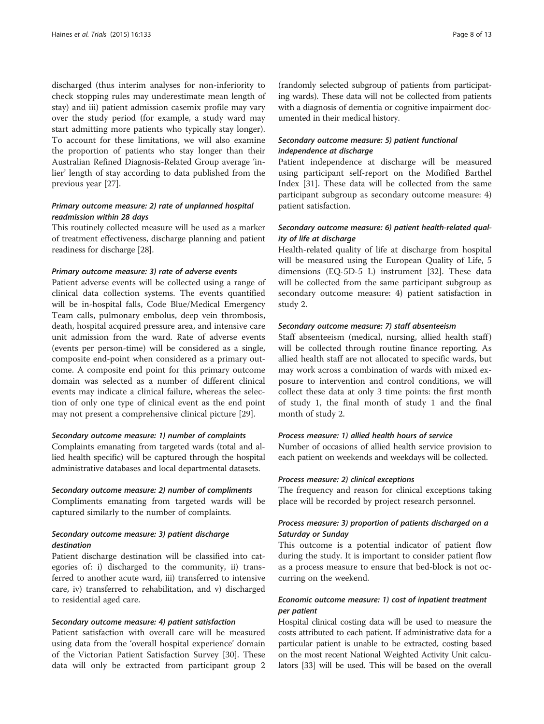discharged (thus interim analyses for non-inferiority to check stopping rules may underestimate mean length of stay) and iii) patient admission casemix profile may vary over the study period (for example, a study ward may start admitting more patients who typically stay longer). To account for these limitations, we will also examine the proportion of patients who stay longer than their Australian Refined Diagnosis-Related Group average 'inlier' length of stay according to data published from the previous year [\[27](#page-12-0)].

# Primary outcome measure: 2) rate of unplanned hospital readmission within 28 days

This routinely collected measure will be used as a marker of treatment effectiveness, discharge planning and patient readiness for discharge [[28](#page-12-0)].

#### Primary outcome measure: 3) rate of adverse events

Patient adverse events will be collected using a range of clinical data collection systems. The events quantified will be in-hospital falls, Code Blue/Medical Emergency Team calls, pulmonary embolus, deep vein thrombosis, death, hospital acquired pressure area, and intensive care unit admission from the ward. Rate of adverse events (events per person-time) will be considered as a single, composite end-point when considered as a primary outcome. A composite end point for this primary outcome domain was selected as a number of different clinical events may indicate a clinical failure, whereas the selection of only one type of clinical event as the end point may not present a comprehensive clinical picture [[29](#page-12-0)].

#### Secondary outcome measure: 1) number of complaints

Complaints emanating from targeted wards (total and allied health specific) will be captured through the hospital administrative databases and local departmental datasets.

#### Secondary outcome measure: 2) number of compliments

Compliments emanating from targeted wards will be captured similarly to the number of complaints.

# Secondary outcome measure: 3) patient discharge destination

Patient discharge destination will be classified into categories of: i) discharged to the community, ii) transferred to another acute ward, iii) transferred to intensive care, iv) transferred to rehabilitation, and v) discharged to residential aged care.

#### Secondary outcome measure: 4) patient satisfaction

Patient satisfaction with overall care will be measured using data from the 'overall hospital experience' domain of the Victorian Patient Satisfaction Survey [[30\]](#page-12-0). These data will only be extracted from participant group 2

# Secondary outcome measure: 5) patient functional independence at discharge

Patient independence at discharge will be measured using participant self-report on the Modified Barthel Index [\[31\]](#page-12-0). These data will be collected from the same participant subgroup as secondary outcome measure: 4) patient satisfaction.

# Secondary outcome measure: 6) patient health-related quality of life at discharge

Health-related quality of life at discharge from hospital will be measured using the European Quality of Life, 5 dimensions (EQ-5D-5 L) instrument [[32\]](#page-12-0). These data will be collected from the same participant subgroup as secondary outcome measure: 4) patient satisfaction in study 2.

#### Secondary outcome measure: 7) staff absenteeism

Staff absenteeism (medical, nursing, allied health staff) will be collected through routine finance reporting. As allied health staff are not allocated to specific wards, but may work across a combination of wards with mixed exposure to intervention and control conditions, we will collect these data at only 3 time points: the first month of study 1, the final month of study 1 and the final month of study 2.

# Process measure: 1) allied health hours of service

Number of occasions of allied health service provision to each patient on weekends and weekdays will be collected.

#### Process measure: 2) clinical exceptions

The frequency and reason for clinical exceptions taking place will be recorded by project research personnel.

# Process measure: 3) proportion of patients discharged on a Saturday or Sunday

This outcome is a potential indicator of patient flow during the study. It is important to consider patient flow as a process measure to ensure that bed-block is not occurring on the weekend.

# Economic outcome measure: 1) cost of inpatient treatment per patient

Hospital clinical costing data will be used to measure the costs attributed to each patient. If administrative data for a particular patient is unable to be extracted, costing based on the most recent National Weighted Activity Unit calculators [\[33\]](#page-12-0) will be used. This will be based on the overall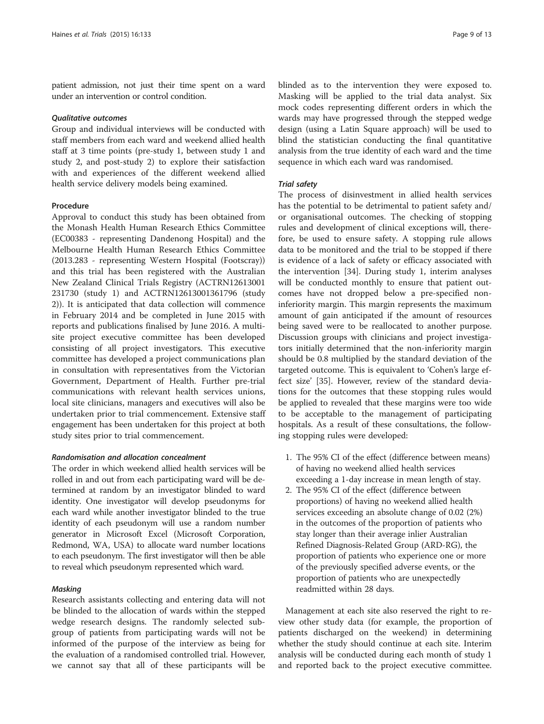patient admission, not just their time spent on a ward under an intervention or control condition.

# Qualitative outcomes

Group and individual interviews will be conducted with staff members from each ward and weekend allied health staff at 3 time points (pre-study 1, between study 1 and study 2, and post-study 2) to explore their satisfaction with and experiences of the different weekend allied health service delivery models being examined.

# Procedure

Approval to conduct this study has been obtained from the Monash Health Human Research Ethics Committee (EC00383 - representing Dandenong Hospital) and the Melbourne Health Human Research Ethics Committee (2013.283 - representing Western Hospital (Footscray)) and this trial has been registered with the Australian New Zealand Clinical Trials Registry ([ACTRN12613001](http://www.anzctr.org.au/ACTRN12613001231730) [231730](http://www.anzctr.org.au/ACTRN12613001231730) (study 1) and [ACTRN12613001361796](http://www.anzctr.org.au/ACTRN12613001361796) (study 2)). It is anticipated that data collection will commence in February 2014 and be completed in June 2015 with reports and publications finalised by June 2016. A multisite project executive committee has been developed consisting of all project investigators. This executive committee has developed a project communications plan in consultation with representatives from the Victorian Government, Department of Health. Further pre-trial communications with relevant health services unions, local site clinicians, managers and executives will also be undertaken prior to trial commencement. Extensive staff engagement has been undertaken for this project at both study sites prior to trial commencement.

# Randomisation and allocation concealment

The order in which weekend allied health services will be rolled in and out from each participating ward will be determined at random by an investigator blinded to ward identity. One investigator will develop pseudonyms for each ward while another investigator blinded to the true identity of each pseudonym will use a random number generator in Microsoft Excel (Microsoft Corporation, Redmond, WA, USA) to allocate ward number locations to each pseudonym. The first investigator will then be able to reveal which pseudonym represented which ward.

# Masking

Research assistants collecting and entering data will not be blinded to the allocation of wards within the stepped wedge research designs. The randomly selected subgroup of patients from participating wards will not be informed of the purpose of the interview as being for the evaluation of a randomised controlled trial. However, we cannot say that all of these participants will be

blinded as to the intervention they were exposed to. Masking will be applied to the trial data analyst. Six mock codes representing different orders in which the wards may have progressed through the stepped wedge design (using a Latin Square approach) will be used to blind the statistician conducting the final quantitative analysis from the true identity of each ward and the time sequence in which each ward was randomised.

#### Trial safety

The process of disinvestment in allied health services has the potential to be detrimental to patient safety and/ or organisational outcomes. The checking of stopping rules and development of clinical exceptions will, therefore, be used to ensure safety. A stopping rule allows data to be monitored and the trial to be stopped if there is evidence of a lack of safety or efficacy associated with the intervention [[34\]](#page-12-0). During study 1, interim analyses will be conducted monthly to ensure that patient outcomes have not dropped below a pre-specified noninferiority margin. This margin represents the maximum amount of gain anticipated if the amount of resources being saved were to be reallocated to another purpose. Discussion groups with clinicians and project investigators initially determined that the non-inferiority margin should be 0.8 multiplied by the standard deviation of the targeted outcome. This is equivalent to 'Cohen's large effect size' [\[35](#page-12-0)]. However, review of the standard deviations for the outcomes that these stopping rules would be applied to revealed that these margins were too wide to be acceptable to the management of participating hospitals. As a result of these consultations, the following stopping rules were developed:

- 1. The 95% CI of the effect (difference between means) of having no weekend allied health services exceeding a 1-day increase in mean length of stay.
- 2. The 95% CI of the effect (difference between proportions) of having no weekend allied health services exceeding an absolute change of 0.02 (2%) in the outcomes of the proportion of patients who stay longer than their average inlier Australian Refined Diagnosis-Related Group (ARD-RG), the proportion of patients who experience one or more of the previously specified adverse events, or the proportion of patients who are unexpectedly readmitted within 28 days.

Management at each site also reserved the right to review other study data (for example, the proportion of patients discharged on the weekend) in determining whether the study should continue at each site. Interim analysis will be conducted during each month of study 1 and reported back to the project executive committee.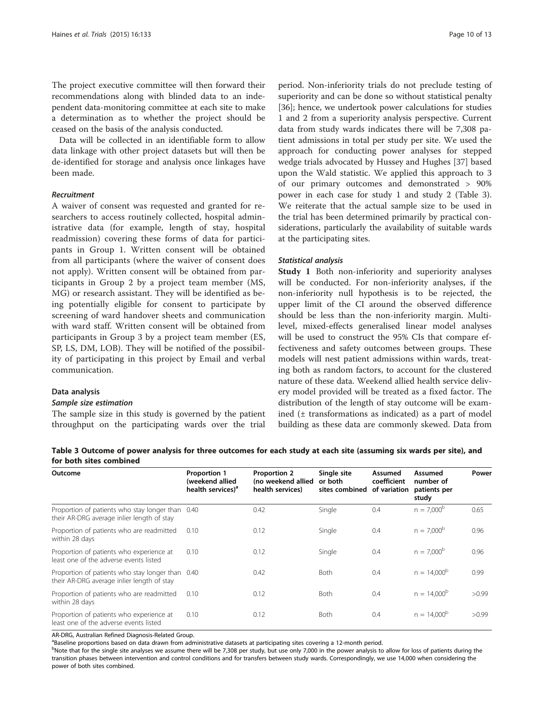The project executive committee will then forward their recommendations along with blinded data to an independent data-monitoring committee at each site to make a determination as to whether the project should be ceased on the basis of the analysis conducted.

Data will be collected in an identifiable form to allow data linkage with other project datasets but will then be de-identified for storage and analysis once linkages have been made.

#### Recruitment

A waiver of consent was requested and granted for researchers to access routinely collected, hospital administrative data (for example, length of stay, hospital readmission) covering these forms of data for participants in Group 1. Written consent will be obtained from all participants (where the waiver of consent does not apply). Written consent will be obtained from participants in Group 2 by a project team member (MS, MG) or research assistant. They will be identified as being potentially eligible for consent to participate by screening of ward handover sheets and communication with ward staff. Written consent will be obtained from participants in Group 3 by a project team member (ES, SP, LS, DM, LOB). They will be notified of the possibility of participating in this project by Email and verbal communication.

#### Data analysis

#### Sample size estimation

The sample size in this study is governed by the patient throughput on the participating wards over the trial period. Non-inferiority trials do not preclude testing of superiority and can be done so without statistical penalty [[36\]](#page-12-0); hence, we undertook power calculations for studies 1 and 2 from a superiority analysis perspective. Current data from study wards indicates there will be 7,308 patient admissions in total per study per site. We used the approach for conducting power analyses for stepped wedge trials advocated by Hussey and Hughes [[37](#page-12-0)] based upon the Wald statistic. We applied this approach to 3 of our primary outcomes and demonstrated > 90% power in each case for study 1 and study 2 (Table 3). We reiterate that the actual sample size to be used in the trial has been determined primarily by practical considerations, particularly the availability of suitable wards at the participating sites.

#### Statistical analysis

Study 1 Both non-inferiority and superiority analyses will be conducted. For non-inferiority analyses, if the non-inferiority null hypothesis is to be rejected, the upper limit of the CI around the observed difference should be less than the non-inferiority margin. Multilevel, mixed-effects generalised linear model analyses will be used to construct the 95% CIs that compare effectiveness and safety outcomes between groups. These models will nest patient admissions within wards, treating both as random factors, to account for the clustered nature of these data. Weekend allied health service delivery model provided will be treated as a fixed factor. The distribution of the length of stay outcome will be examined  $(t$  transformations as indicated) as a part of model building as these data are commonly skewed. Data from

Table 3 Outcome of power analysis for three outcomes for each study at each site (assuming six wards per site), and for both sites combined

| Outcome                                                                                        | <b>Proportion 1</b><br>(weekend allied<br>health services) <sup>a</sup> | <b>Proportion 2</b><br>(no weekend allied<br>health services) | Single site<br>or both<br>sites combined | Assumed<br>coefficient<br>of variation | Assumed<br>number of<br>patients per<br>study | Power |
|------------------------------------------------------------------------------------------------|-------------------------------------------------------------------------|---------------------------------------------------------------|------------------------------------------|----------------------------------------|-----------------------------------------------|-------|
| Proportion of patients who stay longer than<br>their AR-DRG average inlier length of stay      | 0.40                                                                    | 0.42                                                          | Single                                   | 0.4                                    | $n = 7,000^{b}$                               | 0.65  |
| Proportion of patients who are readmitted<br>within 28 days                                    | 0.10                                                                    | 0.12                                                          | Single                                   | 0.4                                    | $n = 7.000^{b}$                               | 0.96  |
| Proportion of patients who experience at<br>least one of the adverse events listed             | 0.10                                                                    | 0.12                                                          | Single                                   | 0.4                                    | $n = 7.000^{b}$                               | 0.96  |
| Proportion of patients who stay longer than 0.40<br>their AR-DRG average inlier length of stay |                                                                         | 0.42                                                          | <b>Both</b>                              | 0.4                                    | $n = 14,000^b$                                | 0.99  |
| Proportion of patients who are readmitted<br>within 28 days                                    | 0.10                                                                    | 0.12                                                          | Both                                     | 0.4                                    | $n = 14.000^b$                                | >0.99 |
| Proportion of patients who experience at<br>least one of the adverse events listed             | 0.10                                                                    | 0.12                                                          | <b>Both</b>                              | 0.4                                    | $n = 14.000^{b}$                              | >0.99 |

AR-DRG, Australian Refined Diagnosis-Related Group.

<sup>a</sup>Baseline proportions based on data drawn from administrative datasets at participating sites covering a 12-month period.

bNote that for the single site analyses we assume there will be 7,308 per study, but use only 7,000 in the power analysis to allow for loss of patients during the transition phases between intervention and control conditions and for transfers between study wards. Correspondingly, we use 14,000 when considering the power of both sites combined.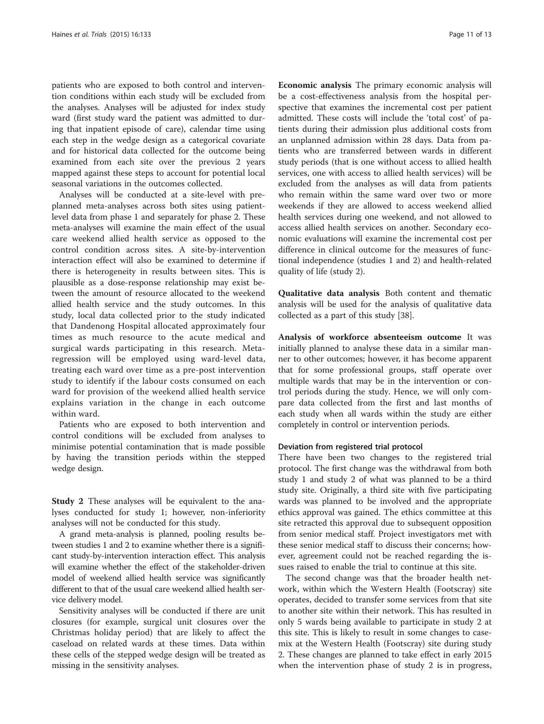patients who are exposed to both control and intervention conditions within each study will be excluded from the analyses. Analyses will be adjusted for index study ward (first study ward the patient was admitted to during that inpatient episode of care), calendar time using each step in the wedge design as a categorical covariate and for historical data collected for the outcome being examined from each site over the previous 2 years mapped against these steps to account for potential local seasonal variations in the outcomes collected.

Analyses will be conducted at a site-level with preplanned meta-analyses across both sites using patientlevel data from phase 1 and separately for phase 2. These meta-analyses will examine the main effect of the usual care weekend allied health service as opposed to the control condition across sites. A site-by-intervention interaction effect will also be examined to determine if there is heterogeneity in results between sites. This is plausible as a dose-response relationship may exist between the amount of resource allocated to the weekend allied health service and the study outcomes. In this study, local data collected prior to the study indicated that Dandenong Hospital allocated approximately four times as much resource to the acute medical and surgical wards participating in this research. Metaregression will be employed using ward-level data, treating each ward over time as a pre-post intervention study to identify if the labour costs consumed on each ward for provision of the weekend allied health service explains variation in the change in each outcome within ward.

Patients who are exposed to both intervention and control conditions will be excluded from analyses to minimise potential contamination that is made possible by having the transition periods within the stepped wedge design.

Study 2 These analyses will be equivalent to the analyses conducted for study 1; however, non-inferiority analyses will not be conducted for this study.

A grand meta-analysis is planned, pooling results between studies 1 and 2 to examine whether there is a significant study-by-intervention interaction effect. This analysis will examine whether the effect of the stakeholder-driven model of weekend allied health service was significantly different to that of the usual care weekend allied health service delivery model.

Sensitivity analyses will be conducted if there are unit closures (for example, surgical unit closures over the Christmas holiday period) that are likely to affect the caseload on related wards at these times. Data within these cells of the stepped wedge design will be treated as missing in the sensitivity analyses.

Economic analysis The primary economic analysis will be a cost-effectiveness analysis from the hospital perspective that examines the incremental cost per patient admitted. These costs will include the 'total cost' of patients during their admission plus additional costs from an unplanned admission within 28 days. Data from patients who are transferred between wards in different study periods (that is one without access to allied health services, one with access to allied health services) will be excluded from the analyses as will data from patients who remain within the same ward over two or more weekends if they are allowed to access weekend allied health services during one weekend, and not allowed to access allied health services on another. Secondary economic evaluations will examine the incremental cost per difference in clinical outcome for the measures of functional independence (studies 1 and 2) and health-related quality of life (study 2).

Qualitative data analysis Both content and thematic analysis will be used for the analysis of qualitative data collected as a part of this study [[38](#page-12-0)].

Analysis of workforce absenteeism outcome It was initially planned to analyse these data in a similar manner to other outcomes; however, it has become apparent that for some professional groups, staff operate over multiple wards that may be in the intervention or control periods during the study. Hence, we will only compare data collected from the first and last months of each study when all wards within the study are either completely in control or intervention periods.

# Deviation from registered trial protocol

There have been two changes to the registered trial protocol. The first change was the withdrawal from both study 1 and study 2 of what was planned to be a third study site. Originally, a third site with five participating wards was planned to be involved and the appropriate ethics approval was gained. The ethics committee at this site retracted this approval due to subsequent opposition from senior medical staff. Project investigators met with these senior medical staff to discuss their concerns; however, agreement could not be reached regarding the issues raised to enable the trial to continue at this site.

The second change was that the broader health network, within which the Western Health (Footscray) site operates, decided to transfer some services from that site to another site within their network. This has resulted in only 5 wards being available to participate in study 2 at this site. This is likely to result in some changes to casemix at the Western Health (Footscray) site during study 2. These changes are planned to take effect in early 2015 when the intervention phase of study 2 is in progress,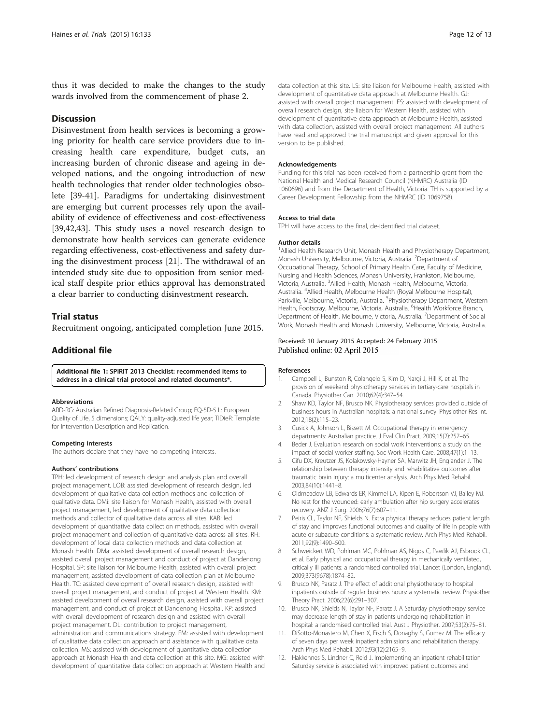<span id="page-11-0"></span>thus it was decided to make the changes to the study wards involved from the commencement of phase 2.

# **Discussion**

Disinvestment from health services is becoming a growing priority for health care service providers due to increasing health care expenditure, budget cuts, an increasing burden of chronic disease and ageing in developed nations, and the ongoing introduction of new health technologies that render older technologies obsolete [[39-41](#page-12-0)]. Paradigms for undertaking disinvestment are emerging but current processes rely upon the availability of evidence of effectiveness and cost-effectiveness [[39,42,43\]](#page-12-0). This study uses a novel research design to demonstrate how health services can generate evidence regarding effectiveness, cost-effectiveness and safety during the disinvestment process [\[21](#page-12-0)]. The withdrawal of an intended study site due to opposition from senior medical staff despite prior ethics approval has demonstrated a clear barrier to conducting disinvestment research.

# Trial status

Recruitment ongoing, anticipated completion June 2015.

# Additional file

[Additional file 1:](http://www.trialsjournal.com/content/supplementary/s13063-015-0619-z-s1.doc) SPIRIT 2013 Checklist: recommended items to address in a clinical trial protocol and related documents\*.

#### Abbreviations

ARD-RG: Australian Refined Diagnosis-Related Group; EQ-5D-5 L: European Quality of Life, 5 dimensions; QALY: quality-adjusted life year; TIDieR: Template for Intervention Description and Replication.

#### Competing interests

The authors declare that they have no competing interests.

#### Authors' contributions

TPH: led development of research design and analysis plan and overall project management. LOB: assisted development of research design, led development of qualitative data collection methods and collection of qualitative data. DMi: site liaison for Monash Health, assisted with overall project management, led development of qualitative data collection methods and collector of qualitative data across all sites. KAB: led development of quantitative data collection methods, assisted with overall project management and collection of quantitative data across all sites. RH: development of local data collection methods and data collection at Monash Health. DMa: assisted development of overall research design, assisted overall project management and conduct of project at Dandenong Hospital. SP: site liaison for Melbourne Health, assisted with overall project management, assisted development of data collection plan at Melbourne Health. TC: assisted development of overall research design, assisted with overall project management, and conduct of project at Western Health. KM: assisted development of overall research design, assisted with overall project management, and conduct of project at Dandenong Hospital. KP: assisted with overall development of research design and assisted with overall project management. DL: contribution to project management, administration and communications strategy. FM: assisted with development of qualitative data collection approach and assistance with qualitative data collection. MS: assisted with development of quantitative data collection approach at Monash Health and data collection at this site. MG: assisted with development of quantitative data collection approach at Western Health and data collection at this site. LS: site liaison for Melbourne Health, assisted with development of quantitative data approach at Melbourne Health. GJ: assisted with overall project management. ES: assisted with development of overall research design, site liaison for Western Health, assisted with development of quantitative data approach at Melbourne Health, assisted with data collection, assisted with overall project management. All authors have read and approved the trial manuscript and given approval for this version to be published.

#### Acknowledgements

Funding for this trial has been received from a partnership grant from the National Health and Medical Research Council (NHMRC) Australia (ID 1060696) and from the Department of Health, Victoria. TH is supported by a Career Development Fellowship from the NHMRC (ID 1069758).

#### Access to trial data

TPH will have access to the final, de-identified trial dataset.

#### Author details

<sup>1</sup> Allied Health Research Unit, Monash Health and Physiotherapy Department Monash University, Melbourne, Victoria, Australia. <sup>2</sup>Department of Occupational Therapy, School of Primary Health Care, Faculty of Medicine, Nursing and Health Sciences, Monash University, Frankston, Melbourne, Victoria, Australia. <sup>3</sup> Allied Health, Monash Health, Melbourne, Victoria, Australia. <sup>4</sup> Allied Health, Melbourne Health (Royal Melbourne Hospital), Parkville, Melbourne, Victoria, Australia. <sup>5</sup>Physiotherapy Department, Western Health, Footscray, Melbourne, Victoria, Australia. <sup>6</sup>Health Workforce Branch Department of Health, Melbourne, Victoria, Australia. <sup>7</sup>Department of Social Work, Monash Health and Monash University, Melbourne, Victoria, Australia.

#### Received: 10 January 2015 Accepted: 24 February 2015 Published online: 02 April 2015

#### References

- 1. Campbell L, Bunston R, Colangelo S, Kim D, Nargi J, Hill K, et al. The provision of weekend physiotherapy services in tertiary-care hospitals in Canada. Physiother Can. 2010;62(4):347–54.
- 2. Shaw KD, Taylor NF, Brusco NK. Physiotherapy services provided outside of business hours in Australian hospitals: a national survey. Physiother Res Int. 2012;18(2):115–23.
- 3. Cusick A, Johnson L, Bissett M. Occupational therapy in emergency departments: Australian practice. J Eval Clin Pract. 2009;15(2):257–65.
- 4. Beder J. Evaluation research on social work interventions: a study on the impact of social worker staffing. Soc Work Health Care. 2008;47(1):1–13.
- 5. Cifu DX, Kreutzer JS, Kolakowsky-Hayner SA, Marwitz JH, Englander J. The relationship between therapy intensity and rehabilitative outcomes after traumatic brain injury: a multicenter analysis. Arch Phys Med Rehabil. 2003;84(10):1441–8.
- 6. Oldmeadow LB, Edwards ER, Kimmel LA, Kipen E, Robertson VJ, Bailey MJ. No rest for the wounded: early ambulation after hip surgery accelerates recovery. ANZ J Surg. 2006;76(7):607–11.
- 7. Peiris CL, Taylor NF, Shields N. Extra physical therapy reduces patient length of stay and improves functional outcomes and quality of life in people with acute or subacute conditions: a systematic review. Arch Phys Med Rehabil. 2011;92(9):1490–500.
- 8. Schweickert WD, Pohlman MC, Pohlman AS, Nigos C, Pawlik AJ, Esbrook CL, et al. Early physical and occupational therapy in mechanically ventilated, critically ill patients: a randomised controlled trial. Lancet (London, England). 2009;373(9678):1874–82.
- 9. Brusco NK, Paratz J. The effect of additional physiotherapy to hospital inpatients outside of regular business hours: a systematic review. Physiother Theory Pract. 2006;22(6):291–307.
- 10. Brusco NK, Shields N, Taylor NF, Paratz J. A Saturday physiotherapy service may decrease length of stay in patients undergoing rehabilitation in hospital: a randomised controlled trial. Aust J Physiother. 2007;53(2):75–81.
- 11. DiSotto-Monastero M, Chen X, Fisch S, Donaghy S, Gomez M. The efficacy of seven days per week inpatient admissions and rehabilitation therapy. Arch Phys Med Rehabil. 2012;93(12):2165–9.
- 12. Hakkennes S, Lindner C, Reid J. Implementing an inpatient rehabilitation Saturday service is associated with improved patient outcomes and